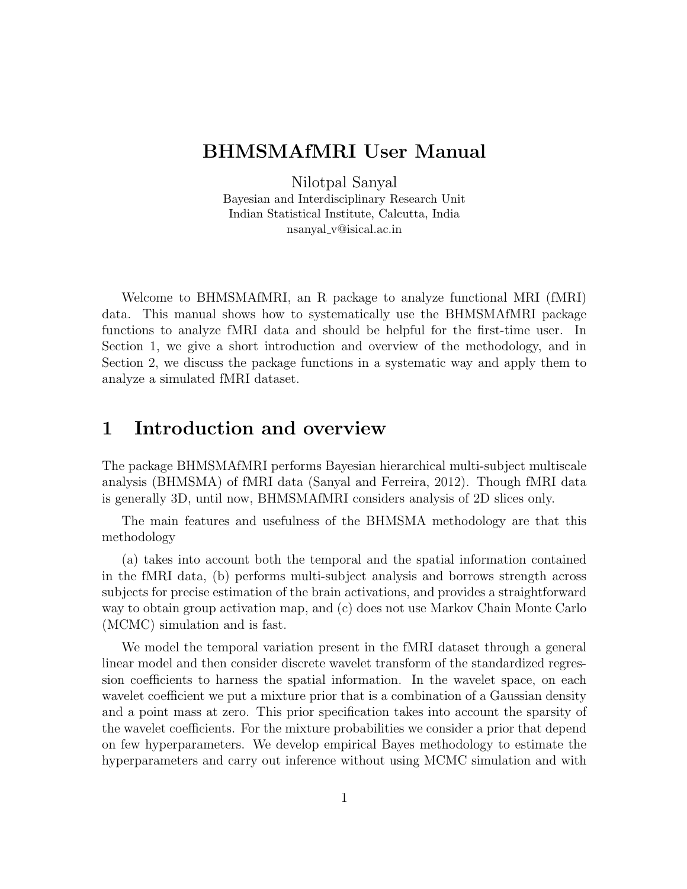# BHMSMAfMRI User Manual

Nilotpal Sanyal Bayesian and Interdisciplinary Research Unit Indian Statistical Institute, Calcutta, India nsanyal v@isical.ac.in

Welcome to BHMSMAfMRI, an R package to analyze functional MRI (fMRI) data. This manual shows how to systematically use the BHMSMAfMRI package functions to analyze fMRI data and should be helpful for the first-time user. In Section 1, we give a short introduction and overview of the methodology, and in Section 2, we discuss the package functions in a systematic way and apply them to analyze a simulated fMRI dataset.

## 1 Introduction and overview

The package BHMSMAfMRI performs Bayesian hierarchical multi-subject multiscale analysis (BHMSMA) of fMRI data (Sanyal and Ferreira, 2012). Though fMRI data is generally 3D, until now, BHMSMAfMRI considers analysis of 2D slices only.

The main features and usefulness of the BHMSMA methodology are that this methodology

(a) takes into account both the temporal and the spatial information contained in the fMRI data, (b) performs multi-subject analysis and borrows strength across subjects for precise estimation of the brain activations, and provides a straightforward way to obtain group activation map, and (c) does not use Markov Chain Monte Carlo (MCMC) simulation and is fast.

We model the temporal variation present in the fMRI dataset through a general linear model and then consider discrete wavelet transform of the standardized regression coefficients to harness the spatial information. In the wavelet space, on each wavelet coefficient we put a mixture prior that is a combination of a Gaussian density and a point mass at zero. This prior specification takes into account the sparsity of the wavelet coefficients. For the mixture probabilities we consider a prior that depend on few hyperparameters. We develop empirical Bayes methodology to estimate the hyperparameters and carry out inference without using MCMC simulation and with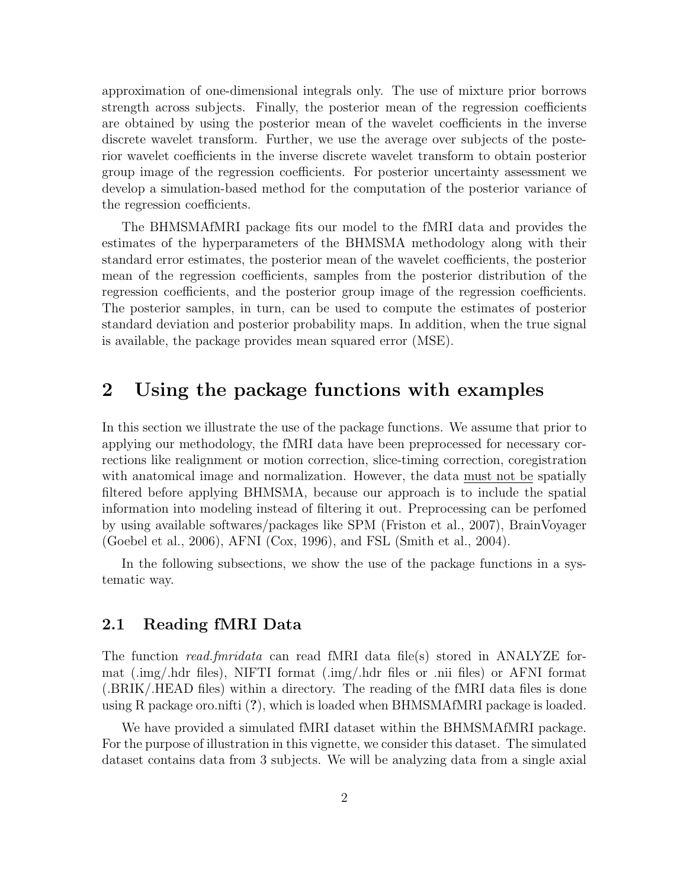approximation of one-dimensional integrals only. The use of mixture prior borrows strength across subjects. Finally, the posterior mean of the regression coefficients are obtained by using the posterior mean of the wavelet coefficients in the inverse discrete wavelet transform. Further, we use the average over subjects of the posterior wavelet coefficients in the inverse discrete wavelet transform to obtain posterior group image of the regression coefficients. For posterior uncertainty assessment we develop a simulation-based method for the computation of the posterior variance of the regression coefficients.

The BHMSMAfMRI package fits our model to the fMRI data and provides the estimates of the hyperparameters of the BHMSMA methodology along with their standard error estimates, the posterior mean of the wavelet coefficients, the posterior mean of the regression coefficients, samples from the posterior distribution of the regression coefficients, and the posterior group image of the regression coefficients. The posterior samples, in turn, can be used to compute the estimates of posterior standard deviation and posterior probability maps. In addition, when the true signal is available, the package provides mean squared error (MSE).

# 2 Using the package functions with examples

In this section we illustrate the use of the package functions. We assume that prior to applying our methodology, the fMRI data have been preprocessed for necessary corrections like realignment or motion correction, slice-timing correction, coregistration with anatomical image and normalization. However, the data must not be spatially filtered before applying BHMSMA, because our approach is to include the spatial information into modeling instead of filtering it out. Preprocessing can be perfomed by using available softwares/packages like SPM (Friston et al., 2007), BrainVoyager (Goebel et al., 2006), AFNI (Cox, 1996), and FSL (Smith et al., 2004).

In the following subsections, we show the use of the package functions in a systematic way.

#### 2.1 Reading fMRI Data

The function *read.fmridata* can read fMRI data file(s) stored in ANALYZE format (.img/.hdr files), NIFTI format (.img/.hdr files or .nii files) or AFNI format (.BRIK/.HEAD files) within a directory. The reading of the fMRI data files is done using R package oro.nifti (?), which is loaded when BHMSMAfMRI package is loaded.

We have provided a simulated fMRI dataset within the BHMSMAfMRI package. For the purpose of illustration in this vignette, we consider this dataset. The simulated dataset contains data from 3 subjects. We will be analyzing data from a single axial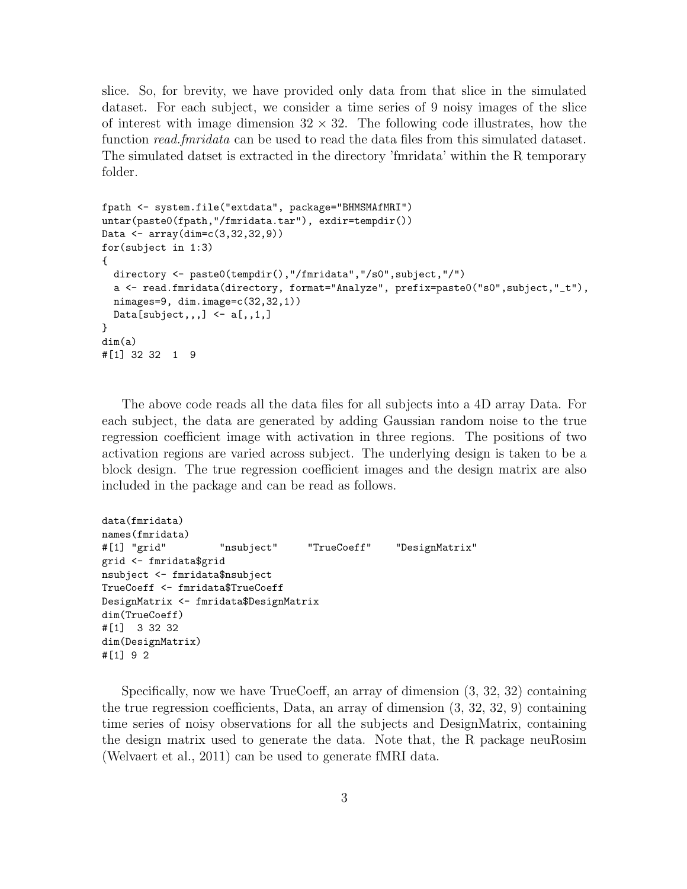slice. So, for brevity, we have provided only data from that slice in the simulated dataset. For each subject, we consider a time series of 9 noisy images of the slice of interest with image dimension  $32 \times 32$ . The following code illustrates, how the function read.fmridata can be used to read the data files from this simulated dataset. The simulated datset is extracted in the directory 'fmridata' within the R temporary folder.

```
fpath <- system.file("extdata", package="BHMSMAfMRI")
untar(paste0(fpath,"/fmridata.tar"), exdir=tempdir())
Data <- array(dim=c(3,32,32,9))
for(subject in 1:3)
{
 directory <- paste0(tempdir(),"/fmridata","/s0",subject,"/")
  a <- read.fmridata(directory, format="Analyze", prefix=paste0("s0",subject,"_t"),
 nimages=9, dim.image=c(32,32,1))
 Data[subject,,,] \leftarrow a[,,1,]
}
dim(a)
#[1] 32 32 1 9
```
The above code reads all the data files for all subjects into a 4D array Data. For each subject, the data are generated by adding Gaussian random noise to the true regression coefficient image with activation in three regions. The positions of two activation regions are varied across subject. The underlying design is taken to be a block design. The true regression coefficient images and the design matrix are also included in the package and can be read as follows.

```
data(fmridata)
names(fmridata)
#[1] "grid" "nsubject" "TrueCoeff" "DesignMatrix"
grid <- fmridata$grid
nsubject <- fmridata$nsubject
TrueCoeff <- fmridata$TrueCoeff
DesignMatrix <- fmridata$DesignMatrix
dim(TrueCoeff)
#[1] 3 32 32
dim(DesignMatrix)
#[1] 9 2
```
Specifically, now we have TrueCoeff, an array of dimension (3, 32, 32) containing the true regression coefficients, Data, an array of dimension (3, 32, 32, 9) containing time series of noisy observations for all the subjects and DesignMatrix, containing the design matrix used to generate the data. Note that, the R package neuRosim (Welvaert et al., 2011) can be used to generate fMRI data.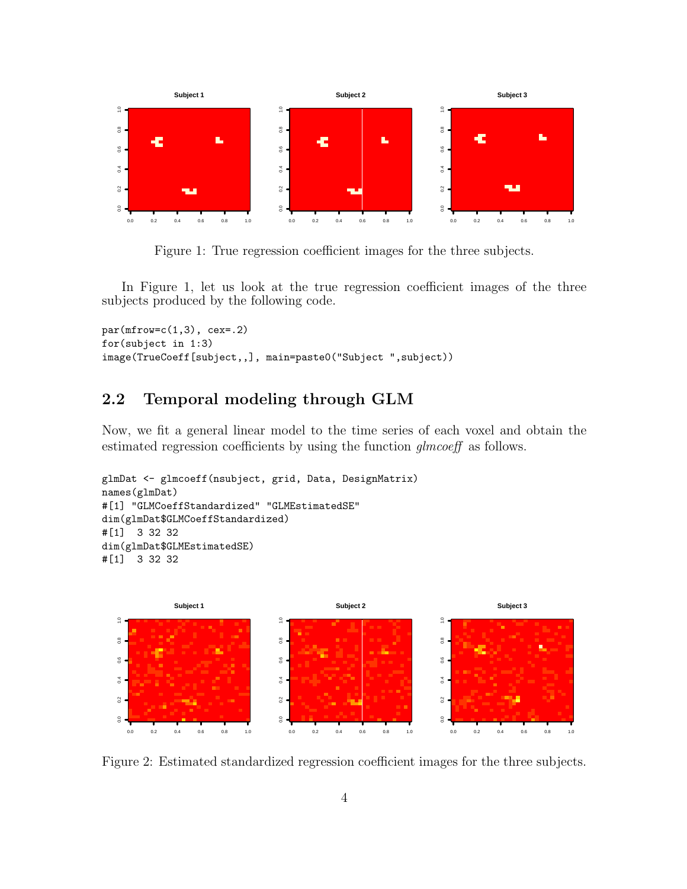

Figure 1: True regression coefficient images for the three subjects.

In Figure 1, let us look at the true regression coefficient images of the three subjects produced by the following code.

```
par(mfrow=c(1,3), cex=.2)for(subject in 1:3)
image(TrueCoeff[subject,,], main=paste0("Subject ",subject))
```
### 2.2 Temporal modeling through GLM

Now, we fit a general linear model to the time series of each voxel and obtain the estimated regression coefficients by using the function *qlmcoeff* as follows.

```
glmDat <- glmcoeff(nsubject, grid, Data, DesignMatrix)
names(glmDat)
#[1] "GLMCoeffStandardized" "GLMEstimatedSE"
dim(glmDat$GLMCoeffStandardized)
#[1] 3 32 32
dim(glmDat$GLMEstimatedSE)
#[1] 3 32 32
```


Figure 2: Estimated standardized regression coefficient images for the three subjects.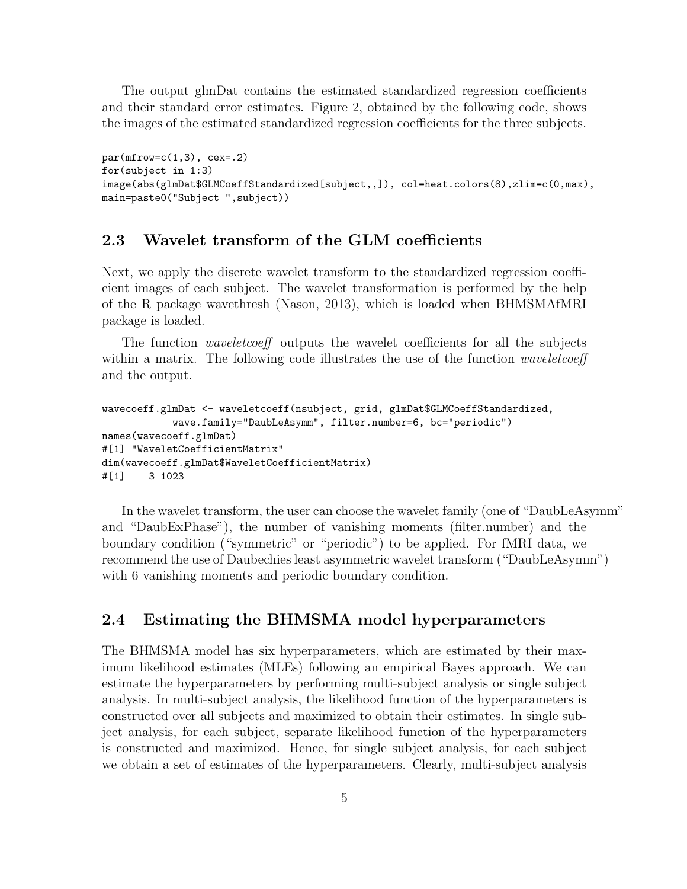The output glmDat contains the estimated standardized regression coefficients and their standard error estimates. Figure 2, obtained by the following code, shows the images of the estimated standardized regression coefficients for the three subjects.

```
par(mfrow=c(1,3), cex=.2)for(subject in 1:3)
image(abs(glmDat$GLMCoeffStandardized[subject,,]), col=heat.colors(8),zlim=c(0,max),
main=paste0("Subject ",subject))
```
#### 2.3 Wavelet transform of the GLM coefficients

Next, we apply the discrete wavelet transform to the standardized regression coefficient images of each subject. The wavelet transformation is performed by the help of the R package wavethresh (Nason, 2013), which is loaded when BHMSMAfMRI package is loaded.

The function *waveletcoeff* outputs the wavelet coefficients for all the subjects within a matrix. The following code illustrates the use of the function *waveletcoeff* and the output.

```
wavecoeff.glmDat <- waveletcoeff(nsubject, grid, glmDat$GLMCoeffStandardized,
            wave.family="DaubLeAsymm", filter.number=6, bc="periodic")
names(wavecoeff.glmDat)
#[1] "WaveletCoefficientMatrix"
dim(wavecoeff.glmDat$WaveletCoefficientMatrix)
#[1] 3 1023
```
In the wavelet transform, the user can choose the wavelet family (one of "DaubLeAsymm" and "DaubExPhase"), the number of vanishing moments (filter.number) and the boundary condition ("symmetric" or "periodic") to be applied. For fMRI data, we recommend the use of Daubechies least asymmetric wavelet transform ("DaubLeAsymm") with 6 vanishing moments and periodic boundary condition.

#### 2.4 Estimating the BHMSMA model hyperparameters

The BHMSMA model has six hyperparameters, which are estimated by their maximum likelihood estimates (MLEs) following an empirical Bayes approach. We can estimate the hyperparameters by performing multi-subject analysis or single subject analysis. In multi-subject analysis, the likelihood function of the hyperparameters is constructed over all subjects and maximized to obtain their estimates. In single subject analysis, for each subject, separate likelihood function of the hyperparameters is constructed and maximized. Hence, for single subject analysis, for each subject we obtain a set of estimates of the hyperparameters. Clearly, multi-subject analysis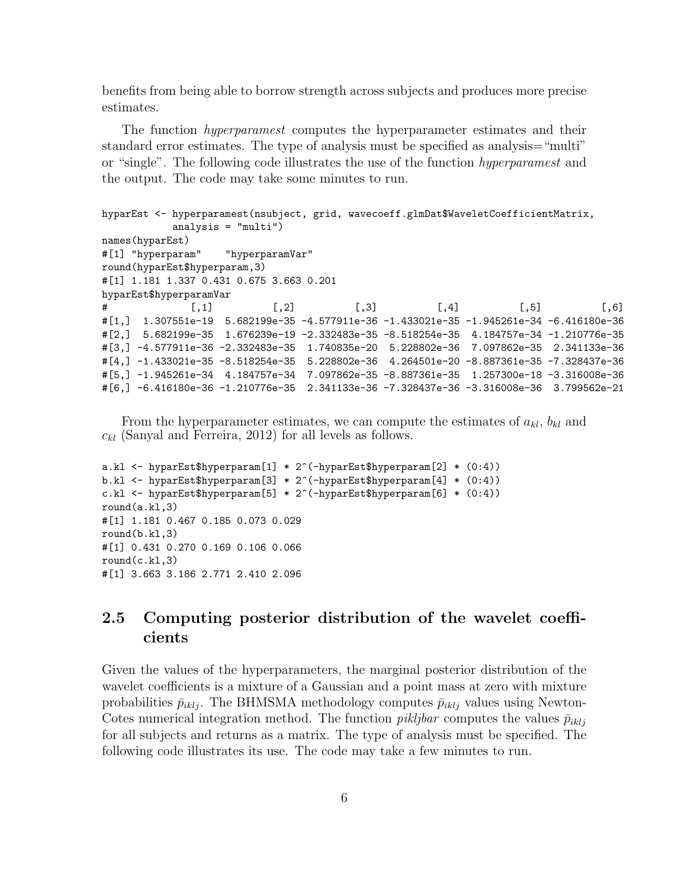benefits from being able to borrow strength across subjects and produces more precise estimates.

The function hyperparamest computes the hyperparameter estimates and their standard error estimates. The type of analysis must be specified as analysis="multi" or "single". The following code illustrates the use of the function hyperparamest and the output. The code may take some minutes to run.

```
hyparEst <- hyperparamest(nsubject, grid, wavecoeff.glmDat$WaveletCoefficientMatrix,
           analysis = "multi")
names(hyparEst)
#[1] "hyperparam" "hyperparamVar"
round(hyparEst$hyperparam,3)
#[1] 1.181 1.337 0.431 0.675 3.663 0.201
hyparEst$hyperparamVar
# [,1] [,2] [,3] [,4] [,5] [,6]
#[1,] 1.307551e-19 5.682199e-35 -4.577911e-36 -1.433021e-35 -1.945261e-34 -6.416180e-36
#[2,] 5.682199e-35 1.676239e-19 -2.332483e-35 -8.518254e-35 4.184757e-34 -1.210776e-35
#[3,] -4.577911e-36 -2.332483e-35 1.740835e-20 5.228802e-36 7.097862e-35 2.341133e-36
#[4,] -1.433021e-35 -8.518254e-35 5.228802e-36 4.264501e-20 -8.887361e-35 -7.328437e-36
#[5,] -1.945261e-34 4.184757e-34 7.097862e-35 -8.887361e-35 1.257300e-18 -3.316008e-36
#[6,] -6.416180e-36 -1.210776e-35 2.341133e-36 -7.328437e-36 -3.316008e-36 3.799562e-21
```
From the hyperparameter estimates, we can compute the estimates of  $a_{kl}$ ,  $b_{kl}$  and  $c_{kl}$  (Sanyal and Ferreira, 2012) for all levels as follows.

```
a.kl <- hyparEst$hyperparam[1] * 2^(-hyparEst$hyperparam[2] * (0:4))
b.kl <- hyparEst$hyperparam[3] * 2^(-hyparEst$hyperparam[4] * (0:4))
c.kl <- hyparEst$hyperparam[5] * 2^(-hyparEst$hyperparam[6] * (0:4))
round(a.kl,3)
#[1] 1.181 0.467 0.185 0.073 0.029
round(b.k1,3)#[1] 0.431 0.270 0.169 0.106 0.066
round(c.k1,3)#[1] 3.663 3.186 2.771 2.410 2.096
```
## 2.5 Computing posterior distribution of the wavelet coefficients

Given the values of the hyperparameters, the marginal posterior distribution of the wavelet coefficients is a mixture of a Gaussian and a point mass at zero with mixture probabilities  $\bar{p}_{iklj}$ . The BHMSMA methodology computes  $\bar{p}_{iklj}$  values using Newton-Cotes numerical integration method. The function *pikljbar* computes the values  $\bar{p}_{iklj}$ for all subjects and returns as a matrix. The type of analysis must be specified. The following code illustrates its use. The code may take a few minutes to run.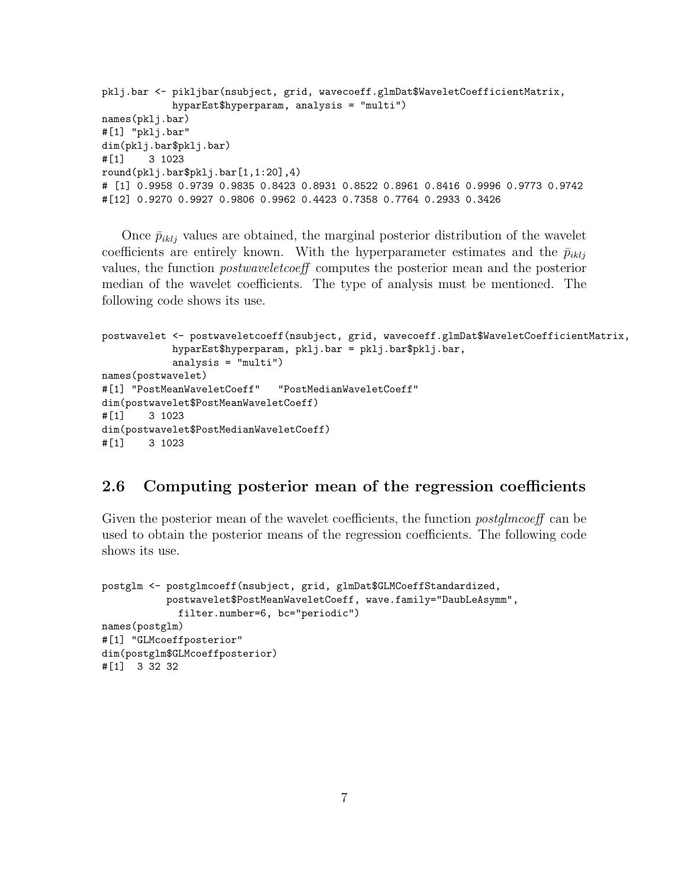```
pklj.bar <- pikljbar(nsubject, grid, wavecoeff.glmDat$WaveletCoefficientMatrix,
            hyparEst$hyperparam, analysis = "multi")
names(pklj.bar)
#[1] "pklj.bar"
dim(pklj.bar$pklj.bar)
#[1] 3 1023
round(pklj.bar$pklj.bar[1,1:20],4)
# [1] 0.9958 0.9739 0.9835 0.8423 0.8931 0.8522 0.8961 0.8416 0.9996 0.9773 0.9742
#[12] 0.9270 0.9927 0.9806 0.9962 0.4423 0.7358 0.7764 0.2933 0.3426
```
Once  $\bar{p}_{iklj}$  values are obtained, the marginal posterior distribution of the wavelet coefficients are entirely known. With the hyperparameter estimates and the  $\bar{p}_{ikli}$ values, the function postwaveletcoeff computes the posterior mean and the posterior median of the wavelet coefficients. The type of analysis must be mentioned. The following code shows its use.

```
postwavelet <- postwaveletcoeff(nsubject, grid, wavecoeff.glmDat$WaveletCoefficientMatrix,
           hyparEst$hyperparam, pklj.bar = pklj.bar$pklj.bar,
           analysis = "multi")
names(postwavelet)
#[1] "PostMeanWaveletCoeff" "PostMedianWaveletCoeff"
dim(postwavelet$PostMeanWaveletCoeff)
#[1] 3 1023
dim(postwavelet$PostMedianWaveletCoeff)
#[1] 3 1023
```
#### 2.6 Computing posterior mean of the regression coefficients

Given the posterior mean of the wavelet coefficients, the function *postglmcoeff* can be used to obtain the posterior means of the regression coefficients. The following code shows its use.

```
postglm <- postglmcoeff(nsubject, grid, glmDat$GLMCoeffStandardized,
           postwavelet$PostMeanWaveletCoeff, wave.family="DaubLeAsymm",
             filter.number=6, bc="periodic")
names(postglm)
#[1] "GLMcoeffposterior"
dim(postglm$GLMcoeffposterior)
#[1] 3 32 32
```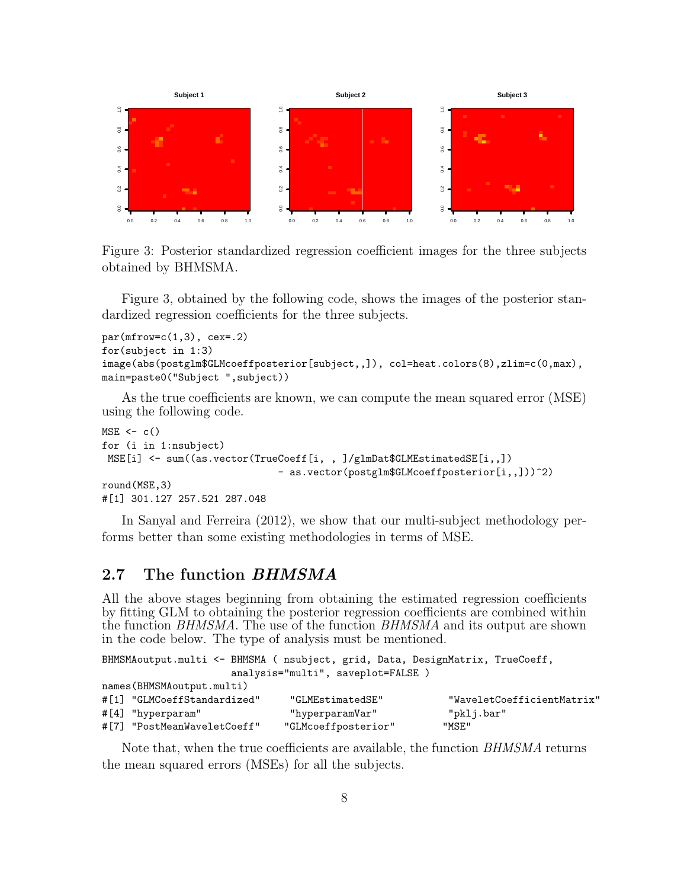

Figure 3: Posterior standardized regression coefficient images for the three subjects obtained by BHMSMA.

Figure 3, obtained by the following code, shows the images of the posterior standardized regression coefficients for the three subjects.

```
par(mfrow=c(1,3), cex=.2)for(subject in 1:3)
image(abs(postglm$GLMcoeffposterior[subject,,]), col=heat.colors(8),zlim=c(0,max),
main=paste0("Subject ",subject))
```
As the true coefficients are known, we can compute the mean squared error (MSE) using the following code.

```
MSE \leftarrow c()for (i in 1:nsubject)
 MSE[i] \leq sum((as.vector(TrueCoeff[i,,])/glmDat$GLMEstimatedSE[i,,])
                                - as.vector(postglm$GLMcoeffposterior[i,,]))^2)
round(MSE,3)
#[1] 301.127 257.521 287.048
```
In Sanyal and Ferreira (2012), we show that our multi-subject methodology performs better than some existing methodologies in terms of MSE.

### 2.7 The function BHMSMA

All the above stages beginning from obtaining the estimated regression coefficients by fitting GLM to obtaining the posterior regression coefficients are combined within the function BHMSMA. The use of the function BHMSMA and its output are shown in the code below. The type of analysis must be mentioned.

| BHMSMAoutput.multi <- BHMSMA ( nsubject, grid, Data, DesignMatrix, TrueCoeff, |                                   |                            |
|-------------------------------------------------------------------------------|-----------------------------------|----------------------------|
|                                                                               | analysis="multi", saveplot=FALSE) |                            |
| names (BHMSMA output.multi)                                                   |                                   |                            |
| #[1] "GLMCoeffStandardized"                                                   | "GLMEstimatedSE"                  | "WaveletCoefficientMatrix" |
| $\#[4]$ "hyperparam"                                                          | "hyperparamVar"                   | "pklj.bar"                 |
| #[7] "PostMeanWaveletCoeff"                                                   | "GLMcoeffposterior"               | "MSE"                      |

Note that, when the true coefficients are available, the function *BHMSMA* returns the mean squared errors (MSEs) for all the subjects.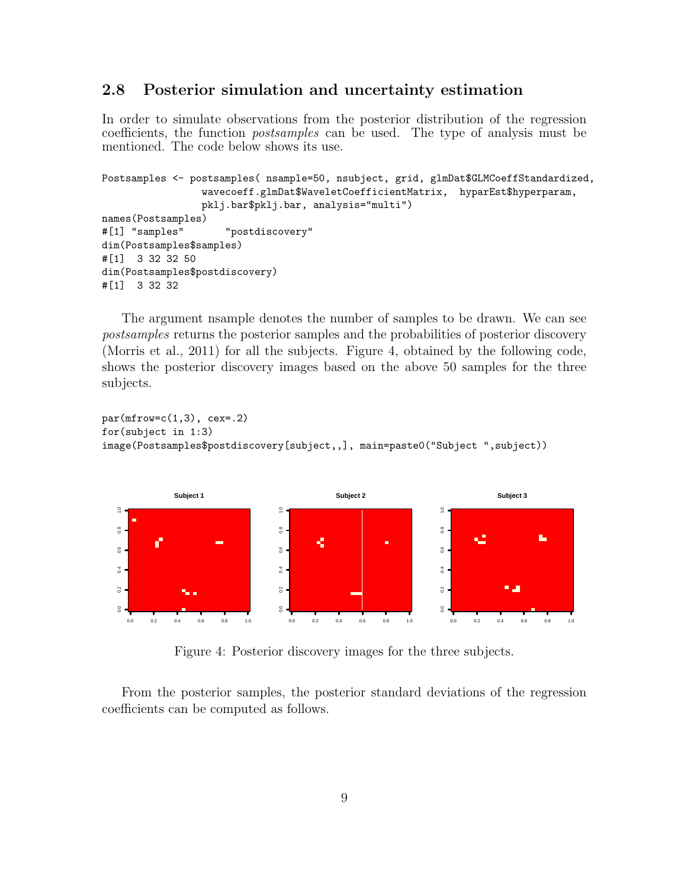#### 2.8 Posterior simulation and uncertainty estimation

In order to simulate observations from the posterior distribution of the regression coefficients, the function postsamples can be used. The type of analysis must be mentioned. The code below shows its use.

```
Postsamples <- postsamples( nsample=50, nsubject, grid, glmDat$GLMCoeffStandardized,
                 wavecoeff.glmDat$WaveletCoefficientMatrix, hyparEst$hyperparam,
                pklj.bar$pklj.bar, analysis="multi")
names(Postsamples)
#[1] "samples" "postdiscovery"
dim(Postsamples$samples)
#[1] 3 32 32 50
dim(Postsamples$postdiscovery)
#[1] 3 32 32
```
The argument nsample denotes the number of samples to be drawn. We can see postsamples returns the posterior samples and the probabilities of posterior discovery (Morris et al., 2011) for all the subjects. Figure 4, obtained by the following code, shows the posterior discovery images based on the above 50 samples for the three subjects.

```
par(mfrow=c(1,3), cex=.2)for(subject in 1:3)
image(Postsamples$postdiscovery[subject,,], main=paste0("Subject ",subject))
```


Figure 4: Posterior discovery images for the three subjects.

From the posterior samples, the posterior standard deviations of the regression coefficients can be computed as follows.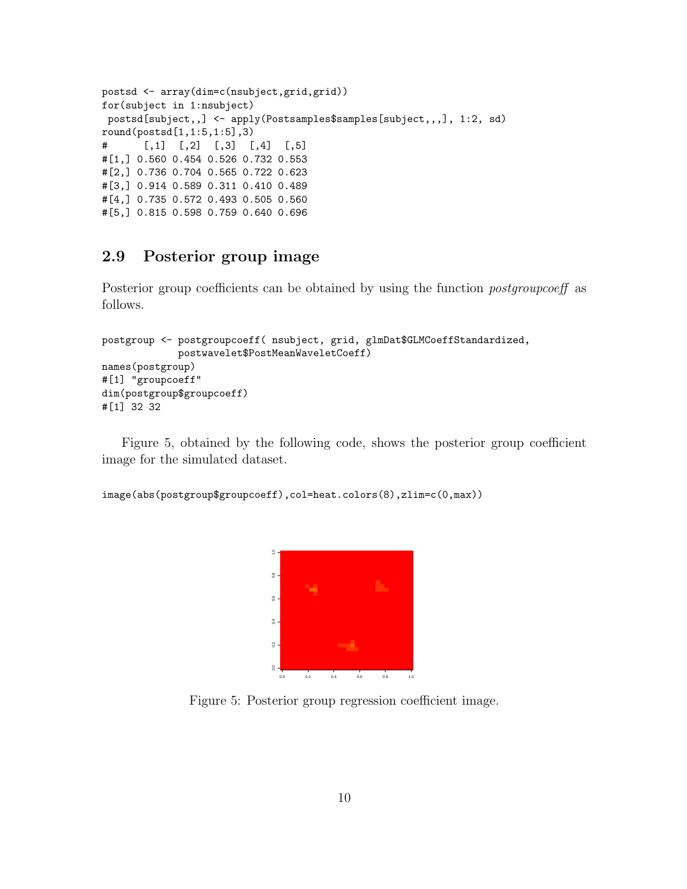```
postsd <- array(dim=c(nsubject,grid,grid))
for(subject in 1:nsubject)
postsd[subject,,] <- apply(Postsamples$samples[subject,,,], 1:2, sd)
round(postsd[1,1:5,1:5],3)
# [,1] [,2] [,3] [,4] [,5]
#[1,] 0.560 0.454 0.526 0.732 0.553
#[2,] 0.736 0.704 0.565 0.722 0.623
#[3,] 0.914 0.589 0.311 0.410 0.489
#[4,] 0.735 0.572 0.493 0.505 0.560
#[5,] 0.815 0.598 0.759 0.640 0.696
```
## 2.9 Posterior group image

Posterior group coefficients can be obtained by using the function *postgroupcoeff* as follows.

```
postgroup <- postgroupcoeff( nsubject, grid, glmDat$GLMCoeffStandardized,
            postwavelet$PostMeanWaveletCoeff)
names(postgroup)
#[1] "groupcoeff"
dim(postgroup$groupcoeff)
#[1] 32 32
```
Figure 5, obtained by the following code, shows the posterior group coefficient image for the simulated dataset.

```
image(abs(postgroup$groupcoeff),col=heat.colors(8),zlim=c(0,max))
```


Figure 5: Posterior group regression coefficient image.